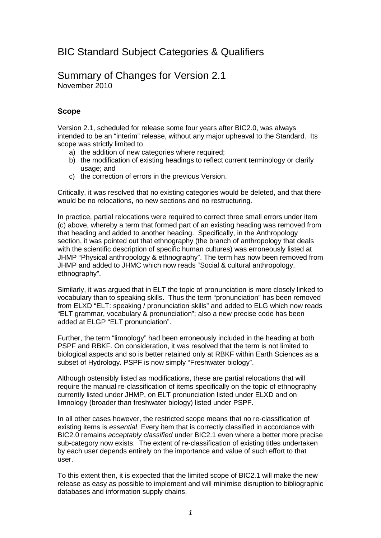# BIC Standard Subject Categories & Qualifiers

## Summary of Changes for Version 2.1 November 2010

### **Scope**

Version 2.1, scheduled for release some four years after BIC2.0, was always intended to be an "interim" release, without any major upheaval to the Standard. Its scope was strictly limited to

- a) the addition of new categories where required;
- b) the modification of existing headings to reflect current terminology or clarify usage; and
- c) the correction of errors in the previous Version.

Critically, it was resolved that no existing categories would be deleted, and that there would be no relocations, no new sections and no restructuring.

In practice, partial relocations were required to correct three small errors under item (c) above, whereby a term that formed part of an existing heading was removed from that heading and added to another heading. Specifically, in the Anthropology section, it was pointed out that ethnography (the branch of anthropology that deals with the scientific description of specific human cultures) was erroneously listed at JHMP "Physical anthropology & ethnography". The term has now been removed from JHMP and added to JHMC which now reads "Social & cultural anthropology, ethnography".

Similarly, it was argued that in ELT the topic of pronunciation is more closely linked to vocabulary than to speaking skills. Thus the term "pronunciation" has been removed from ELXD "ELT: speaking / pronunciation skills" and added to ELG which now reads "ELT grammar, vocabulary & pronunciation"; also a new precise code has been added at ELGP "ELT pronunciation".

Further, the term "limnology" had been erroneously included in the heading at both PSPF and RBKF. On consideration, it was resolved that the term is not limited to biological aspects and so is better retained only at RBKF within Earth Sciences as a subset of Hydrology. PSPF is now simply "Freshwater biology".

Although ostensibly listed as modifications, these are partial relocations that will require the manual re-classification of items specifically on the topic of ethnography currently listed under JHMP, on ELT pronunciation listed under ELXD and on limnology (broader than freshwater biology) listed under PSPF.

In all other cases however, the restricted scope means that no re-classification of existing items is *essential*. Every item that is correctly classified in accordance with BIC2.0 remains *acceptably classified* under BIC2.1 even where a better more precise sub-category now exists. The extent of re-classification of existing titles undertaken by each user depends entirely on the importance and value of such effort to that user.

To this extent then, it is expected that the limited scope of BIC2.1 will make the new release as easy as possible to implement and will minimise disruption to bibliographic databases and information supply chains.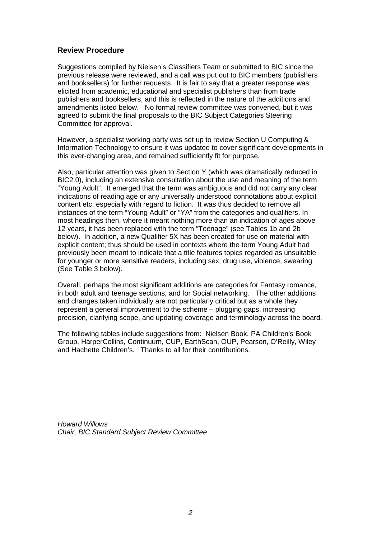#### **Review Procedure**

Suggestions compiled by Nielsen's Classifiers Team or submitted to BIC since the previous release were reviewed, and a call was put out to BIC members (publishers and booksellers) for further requests. It is fair to say that a greater response was elicited from academic, educational and specialist publishers than from trade publishers and booksellers, and this is reflected in the nature of the additions and amendments listed below. No formal review committee was convened, but it was agreed to submit the final proposals to the BIC Subject Categories Steering Committee for approval.

However, a specialist working party was set up to review Section U Computing & Information Technology to ensure it was updated to cover significant developments in this ever-changing area, and remained sufficiently fit for purpose.

Also, particular attention was given to Section Y (which was dramatically reduced in BIC2.0), including an extensive consultation about the use and meaning of the term "Young Adult". It emerged that the term was ambiguous and did not carry any clear indications of reading age or any universally understood connotations about explicit content etc, especially with regard to fiction. It was thus decided to remove all instances of the term "Young Adult" or "YA" from the categories and qualifiers. In most headings then, where it meant nothing more than an indication of ages above 12 years, it has been replaced with the term "Teenage" (see Tables 1b and 2b below). In addition, a new Qualifier 5X has been created for use on material with explicit content; thus should be used in contexts where the term Young Adult had previously been meant to indicate that a title features topics regarded as unsuitable for younger or more sensitive readers, including sex, drug use, violence, swearing (See Table 3 below).

Overall, perhaps the most significant additions are categories for Fantasy romance, in both adult and teenage sections, and for Social networking. The other additions and changes taken individually are not particularly critical but as a whole they represent a general improvement to the scheme – plugging gaps, increasing precision, clarifying scope, and updating coverage and terminology across the board.

The following tables include suggestions from: Nielsen Book, PA Children's Book Group, HarperCollins, Continuum, CUP, EarthScan, OUP, Pearson, O'Reilly, Wiley and Hachette Children's. Thanks to all for their contributions.

*Howard Willows Chair, BIC Standard Subject Review Committee*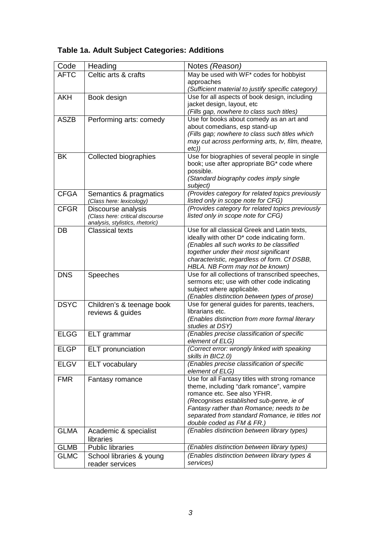| Code        | Heading                                               | Notes (Reason)                                                                         |  |
|-------------|-------------------------------------------------------|----------------------------------------------------------------------------------------|--|
| <b>AFTC</b> | Celtic arts & crafts                                  | May be used with WF* codes for hobbyist                                                |  |
|             |                                                       | approaches                                                                             |  |
|             |                                                       | (Sufficient material to justify specific category)                                     |  |
| <b>AKH</b>  | Book design                                           | Use for all aspects of book design, including                                          |  |
|             |                                                       | jacket design, layout, etc                                                             |  |
|             |                                                       | (Fills gap, nowhere to class such titles)                                              |  |
| <b>ASZB</b> | Performing arts: comedy                               | Use for books about comedy as an art and<br>about comedians, esp stand-up              |  |
|             |                                                       | (Fills gap; nowhere to class such titles which                                         |  |
|             |                                                       | may cut across performing arts, tv, film, theatre,                                     |  |
|             |                                                       | etc)                                                                                   |  |
| <b>BK</b>   | Collected biographies                                 | Use for biographies of several people in single                                        |  |
|             |                                                       | book; use after appropriate BG* code where                                             |  |
|             |                                                       | possible.                                                                              |  |
|             |                                                       | (Standard biography codes imply single                                                 |  |
|             |                                                       | subject)                                                                               |  |
| <b>CFGA</b> | Semantics & pragmatics                                | (Provides category for related topics previously                                       |  |
| <b>CFGR</b> | (Class here: lexicology)                              | listed only in scope note for CFG)<br>(Provides category for related topics previously |  |
|             | Discourse analysis<br>(Class here: critical discourse | listed only in scope note for CFG)                                                     |  |
|             | analysis, stylistics, rhetoric)                       |                                                                                        |  |
| DB          | <b>Classical texts</b>                                | Use for all classical Greek and Latin texts,                                           |  |
|             |                                                       | ideally with other D* code indicating form.                                            |  |
|             |                                                       | (Enables all such works to be classified                                               |  |
|             |                                                       | together under their most significant                                                  |  |
|             |                                                       | characteristic, regardless of form. Cf DSBB,                                           |  |
| <b>DNS</b>  |                                                       | HBLA. NB Form may not be known)<br>Use for all collections of transcribed speeches,    |  |
|             | Speeches                                              | sermons etc; use with other code indicating                                            |  |
|             |                                                       | subject where applicable.                                                              |  |
|             |                                                       | (Enables distinction between types of prose)                                           |  |
| <b>DSYC</b> | Children's & teenage book                             | Use for general guides for parents, teachers,                                          |  |
|             | reviews & guides                                      | librarians etc.                                                                        |  |
|             |                                                       | (Enables distinction from more formal literary                                         |  |
|             |                                                       | studies at DSY)                                                                        |  |
| <b>ELGG</b> | ELT grammar                                           | (Enables precise classification of specific                                            |  |
|             |                                                       | element of ELG)                                                                        |  |
| <b>ELGP</b> | <b>ELT</b> pronunciation                              | (Correct error: wrongly linked with speaking<br>skills in BIC2.0)                      |  |
| <b>ELGV</b> | <b>ELT</b> vocabulary                                 | (Enables precise classification of specific                                            |  |
|             |                                                       | element of ELG)                                                                        |  |
| <b>FMR</b>  | Fantasy romance                                       | Use for all Fantasy titles with strong romance                                         |  |
|             |                                                       | theme, including "dark romance", vampire                                               |  |
|             |                                                       | romance etc. See also YFHR.                                                            |  |
|             |                                                       | (Recognises established sub-genre, ie of                                               |  |
|             |                                                       | Fantasy rather than Romance; needs to be                                               |  |
|             |                                                       | separated from standard Romance, ie titles not                                         |  |
|             |                                                       | double coded as FM & FR.)<br>(Enables distinction between library types)               |  |
| <b>GLMA</b> | Academic & specialist                                 |                                                                                        |  |
|             | libraries                                             | (Enables distinction between library types)                                            |  |
| <b>GLMB</b> | <b>Public libraries</b>                               |                                                                                        |  |
| <b>GLMC</b> | School libraries & young                              | (Enables distinction between library types &<br>services)                              |  |
|             | reader services                                       |                                                                                        |  |

# **Table 1a. Adult Subject Categories: Additions**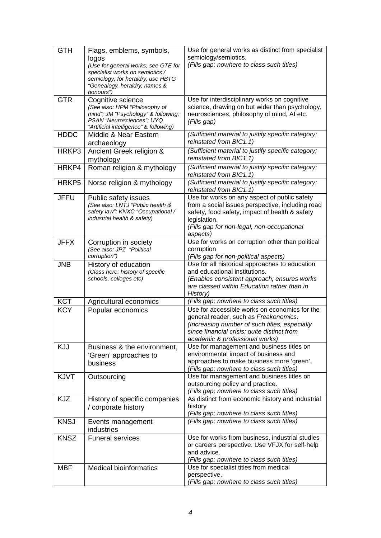| <b>GTH</b>  | Flags, emblems, symbols,<br>logos<br>(Use for general works; see GTE for<br>specialist works on semiotics /<br>semiology; for heraldry, use HBTG<br>"Genealogy, heraldry, names &<br>honours") | Use for general works as distinct from specialist<br>semiology/semiotics.<br>(Fills gap; nowhere to class such titles)                                                                                                       |
|-------------|------------------------------------------------------------------------------------------------------------------------------------------------------------------------------------------------|------------------------------------------------------------------------------------------------------------------------------------------------------------------------------------------------------------------------------|
| <b>GTR</b>  | Cognitive science<br>(See also: HPM "Philosophy of<br>mind"; JM "Psychology" & following;<br>PSAN "Neurosciences"; UYQ<br>"Artificial intelligence" & following)                               | Use for interdisciplinary works on cognitive<br>science, drawing on but wider than psychology,<br>neurosciences, philosophy of mind, AI etc.<br>(Fills gap)                                                                  |
| <b>HDDC</b> | Middle & Near Eastern<br>archaeology                                                                                                                                                           | (Sufficient material to justify specific category;<br>reinstated from BIC1.1)                                                                                                                                                |
| HRKP3       | Ancient Greek religion &<br>mythology                                                                                                                                                          | (Sufficient material to justify specific category;<br>reinstated from BIC1.1)                                                                                                                                                |
| HRKP4       | Roman religion & mythology                                                                                                                                                                     | (Sufficient material to justify specific category;<br>reinstated from BIC1.1)                                                                                                                                                |
| HRKP5       | Norse religion & mythology                                                                                                                                                                     | (Sufficient material to justify specific category;<br>reinstated from BIC1.1)                                                                                                                                                |
| <b>JFFU</b> | Public safety issues<br>(See also: LNTJ "Public health &<br>safety law"; KNXC "Occupational /<br>industrial health & safety)                                                                   | Use for works on any aspect of public safety<br>from a social issues perspective, including road<br>safety, food safety, impact of health & safety<br>legislation.<br>(Fills gap for non-legal, non-occupational<br>aspects) |
| <b>JFFX</b> | Corruption in society<br>(See also: JPZ "Political<br>corruption")                                                                                                                             | Use for works on corruption other than political<br>corruption<br>(Fills gap for non-political aspects)                                                                                                                      |
| <b>JNB</b>  | History of education<br>(Class here: history of specific<br>schools, colleges etc)                                                                                                             | Use for all historical approaches to education<br>and educational institutions.<br>(Enables consistent approach; ensures works<br>are classed within Education rather than in<br>History)                                    |
| <b>KCT</b>  | Agricultural economics                                                                                                                                                                         | (Fills gap; nowhere to class such titles)                                                                                                                                                                                    |
| <b>KCY</b>  | Popular economics                                                                                                                                                                              | Use for accessible works on economics for the<br>general reader, such as Freakonomics.<br>(Increasing number of such titles, especially<br>since financial crisis; quite distinct from<br>academic & professional works)     |
| KJJ         | Business & the environment,<br>'Green' approaches to<br>business                                                                                                                               | Use for management and business titles on<br>environmental impact of business and<br>approaches to make business more 'green'.<br>(Fills gap; nowhere to class such titles)                                                  |
| KJVT        | Outsourcing                                                                                                                                                                                    | Use for management and business titles on<br>outsourcing policy and practice.<br>(Fills gap; nowhere to class such titles)                                                                                                   |
| <b>KJZ</b>  | History of specific companies<br>/ corporate history                                                                                                                                           | As distinct from economic history and industrial<br>history<br>(Fills gap; nowhere to class such titles)                                                                                                                     |
| <b>KNSJ</b> | Events management<br>industries                                                                                                                                                                | (Fills gap; nowhere to class such titles)                                                                                                                                                                                    |
| <b>KNSZ</b> | <b>Funeral services</b>                                                                                                                                                                        | Use for works from business, industrial studies<br>or careers perspective. Use VFJX for self-help<br>and advice.<br>(Fills gap; nowhere to class such titles)                                                                |
| <b>MBF</b>  | <b>Medical bioinformatics</b>                                                                                                                                                                  | Use for specialist titles from medical<br>perspective.<br>(Fills gap; nowhere to class such titles)                                                                                                                          |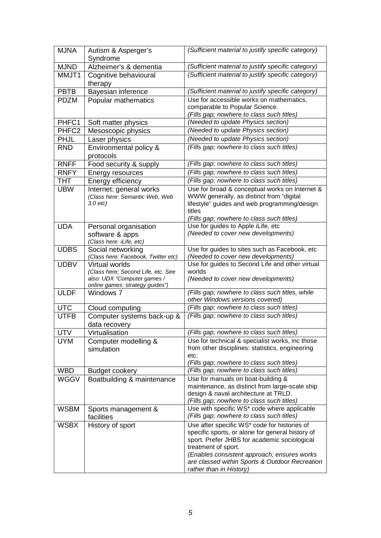| <b>MJNA</b>       | Autism & Asperger's<br>Syndrome                                   | (Sufficient material to justify specific category)                                       |  |
|-------------------|-------------------------------------------------------------------|------------------------------------------------------------------------------------------|--|
| <b>MJND</b>       | Alzheimer's & dementia                                            | (Sufficient material to justify specific category)                                       |  |
| MMJT1             | Cognitive behavioural<br>therapy                                  | (Sufficient material to justify specific category)                                       |  |
| <b>PBTB</b>       | Bayesian inference                                                | (Sufficient material to justify specific category)                                       |  |
| <b>PDZM</b>       | Popular mathematics                                               | Use for accessible works on mathematics,                                                 |  |
|                   |                                                                   | comparable to Popular Science.                                                           |  |
|                   |                                                                   | (Fills gap; nowhere to class such titles)                                                |  |
| PHFC1             | Soft matter physics                                               | (Needed to update Physics section)                                                       |  |
| PHFC <sub>2</sub> | Mesoscopic physics                                                | (Needed to update Physics section)                                                       |  |
| <b>PHJL</b>       | Laser physics                                                     | (Needed to update Physics section)                                                       |  |
| <b>RND</b>        | Environmental policy &                                            | (Fills gap; nowhere to class such titles)                                                |  |
|                   | protocols                                                         |                                                                                          |  |
| <b>RNFF</b>       | Food security & supply                                            | (Fills gap; nowhere to class such titles)                                                |  |
| <b>RNFY</b>       | Energy resources                                                  | (Fills gap; nowhere to class such titles)                                                |  |
| <b>THT</b>        | Energy efficiency                                                 | (Fills gap; nowhere to class such titles)                                                |  |
| <b>UBW</b>        | Internet: general works                                           | Use for broad & conceptual works on Internet &                                           |  |
|                   | (Class here: Semantic Web, Web                                    | WWW generally, as distinct from "digital                                                 |  |
|                   | $3.0$ etc)                                                        | lifestyle" guides and web programming/design                                             |  |
|                   |                                                                   | titles                                                                                   |  |
|                   |                                                                   | (Fills gap; nowhere to class such titles)                                                |  |
| <b>UDA</b>        | Personal organisation                                             | Use for guides to Apple iLife, etc                                                       |  |
|                   | software & apps<br>(Class here: iLife, etc)                       | (Needed to cover new developments)                                                       |  |
| <b>UDBS</b>       | Social networking                                                 | Use for guides to sites such as Facebook, etc                                            |  |
|                   | (Class here: Facebook, Twitter etc)                               | (Needed to cover new developments)                                                       |  |
| <b>UDBV</b>       | Virtual worlds                                                    | Use for guides to Second Life and other virtual                                          |  |
|                   | (Class here; Second Life, etc. See<br>also: UDX "Computer games / | worlds                                                                                   |  |
|                   | online games: strategy guides")                                   | (Needed to cover new developments)                                                       |  |
| <b>ULDF</b>       | Windows 7                                                         | (Fills gap; nowhere to class such titles, while                                          |  |
|                   |                                                                   | other Windows versions covered)                                                          |  |
| <b>UTC</b>        | Cloud computing                                                   | (Fills gap; nowhere to class such titles)                                                |  |
| <b>UTFB</b>       | Computer systems back-up &<br>data recovery                       | (Fills gap; nowhere to class such titles)                                                |  |
| <b>UTV</b>        | Virtualisation                                                    | (Fills gap; nowhere to class such titles)                                                |  |
| <b>UYM</b>        | Computer modelling &                                              | Use for technical & specialist works, inc those                                          |  |
|                   | simulation                                                        | from other disciplines: statistics, engineering                                          |  |
|                   |                                                                   | etc.                                                                                     |  |
|                   |                                                                   | (Fills gap; nowhere to class such titles)                                                |  |
| <b>WBD</b>        | <b>Budget cookery</b>                                             | (Fills gap; nowhere to class such titles)                                                |  |
| <b>WGGV</b>       | Boatbuilding & maintenance                                        | Use for manuals on boat-building &                                                       |  |
|                   |                                                                   | maintenance, as distinct from large-scale ship                                           |  |
|                   |                                                                   | design & naval architecture at TRLD.                                                     |  |
| <b>WSBM</b>       | Sports management &                                               | (Fills gap; nowhere to class such titles)<br>Use with specific WS* code where applicable |  |
|                   | facilities                                                        | (Fills gap; nowhere to class such titles)                                                |  |
| <b>WSBX</b>       | History of sport                                                  | Use after specific WS* code for histories of                                             |  |
|                   |                                                                   | specific sports, or alone for general history of                                         |  |
|                   |                                                                   | sport. Prefer JHBS for academic sociological                                             |  |
|                   |                                                                   | treatment of sport.<br>(Enables consistent approach; ensures works                       |  |
|                   |                                                                   | are classed within Sports & Outdoor Recreation                                           |  |
|                   |                                                                   | rather than in History)                                                                  |  |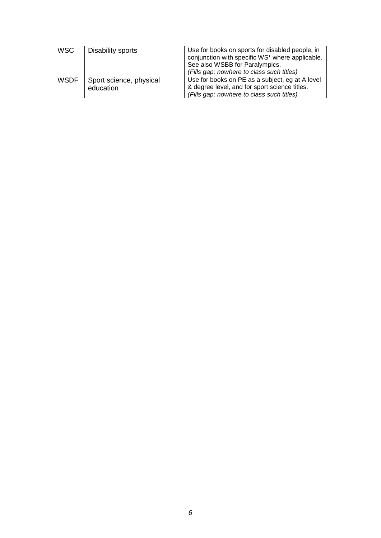| <b>WSC</b>  | Disability sports                    | Use for books on sports for disabled people, in<br>conjunction with specific WS* where applicable.<br>See also WSBB for Paralympics.<br>(Fills gap; nowhere to class such titles) |
|-------------|--------------------------------------|-----------------------------------------------------------------------------------------------------------------------------------------------------------------------------------|
| <b>WSDF</b> | Sport science, physical<br>education | Use for books on PE as a subject, eg at A level<br>& degree level, and for sport science titles.<br>(Fills gap; nowhere to class such titles)                                     |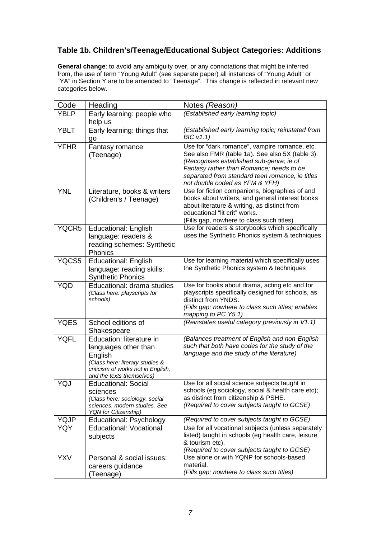## **Table 1b. Children's/Teenage/Educational Subject Categories: Additions**

**General change**: to avoid any ambiguity over, or any connotations that might be inferred from, the use of term "Young Adult" (see separate paper) all instances of "Young Adult" or "YA" in Section Y are to be amended to "Teenage". This change is reflected in relevant new categories below.

| Code        | Heading                                                                                                                                                           | Notes (Reason)                                                                                                                                                                                                                                                                |
|-------------|-------------------------------------------------------------------------------------------------------------------------------------------------------------------|-------------------------------------------------------------------------------------------------------------------------------------------------------------------------------------------------------------------------------------------------------------------------------|
| <b>YBLP</b> | Early learning: people who                                                                                                                                        | (Established early learning topic)                                                                                                                                                                                                                                            |
|             | help us                                                                                                                                                           |                                                                                                                                                                                                                                                                               |
| <b>YBLT</b> | Early learning: things that<br>go                                                                                                                                 | (Established early learning topic; reinstated from<br>BICV1.1)                                                                                                                                                                                                                |
| <b>YFHR</b> | Fantasy romance<br>(Teenage)                                                                                                                                      | Use for "dark romance", vampire romance, etc.<br>See also FMR (table 1a). See also 5X (table 3).<br>(Recognises established sub-genre; ie of<br>Fantasy rather than Romance; needs to be<br>separated from standard teen romance, ie titles<br>not double coded as YFM & YFH) |
| <b>YNL</b>  | Literature, books & writers<br>(Children's / Teenage)                                                                                                             | Use for fiction companions, biographies of and<br>books about writers, and general interest books<br>about literature & writing, as distinct from<br>educational "lit crit" works.<br>(Fills gap, nowhere to class such titles)                                               |
| YQCR5       | <b>Educational: English</b><br>language: readers &<br>reading schemes: Synthetic<br>Phonics                                                                       | Use for readers & storybooks which specifically<br>uses the Synthetic Phonics system & techniques                                                                                                                                                                             |
| YQCS5       | <b>Educational: English</b><br>language: reading skills:<br><b>Synthetic Phonics</b>                                                                              | Use for learning material which specifically uses<br>the Synthetic Phonics system & techniques                                                                                                                                                                                |
| <b>YQD</b>  | Educational: drama studies<br>(Class here: playscripts for<br>schools)                                                                                            | Use for books about drama, acting etc and for<br>playscripts specifically designed for schools, as<br>distinct from YNDS.<br>(Fills gap; nowhere to class such titles; enables<br>mapping to PC Y5.1)                                                                         |
| <b>YQES</b> | School editions of<br>Shakespeare                                                                                                                                 | (Reinstates useful category previously in V1.1)                                                                                                                                                                                                                               |
| <b>YQFL</b> | Education: literature in<br>languages other than<br>English<br>(Class here: literary studies &<br>criticism of works not in English,<br>and the texts themselves) | (Balances treatment of English and non-English<br>such that both have codes for the study of the<br>language and the study of the literature)                                                                                                                                 |
| YQJ         | <b>Educational: Social</b><br>sciences<br>(Class here: sociology, social<br>sciences, modern studies. See<br><b>YQN</b> for Citizenship)                          | Use for all social science subjects taught in<br>schools (eg sociology, social & health care etc);<br>as distinct from citizenship & PSHE.<br>(Required to cover subjects taught to GCSE)                                                                                     |
| <b>YQJP</b> | Educational: Psychology                                                                                                                                           | (Required to cover subjects taught to GCSE)                                                                                                                                                                                                                                   |
| YQY         | <b>Educational: Vocational</b><br>subjects                                                                                                                        | Use for all vocational subjects (unless separately<br>listed) taught in schools (eg health care, leisure<br>& tourism etc).<br>(Required to cover subjects taught to GCSE)                                                                                                    |
| <b>YXV</b>  | Personal & social issues:<br>careers guidance<br>(Teenage)                                                                                                        | Use alone or with YQNP for schools-based<br>material.<br>(Fills gap; nowhere to class such titles)                                                                                                                                                                            |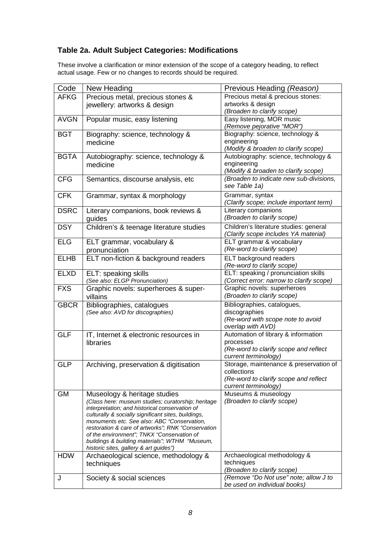## **Table 2a. Adult Subject Categories: Modifications**

These involve a clarification or minor extension of the scope of a category heading, to reflect actual usage. Few or no changes to records should be required.

| Code        | New Heading                                                                                           | Previous Heading (Reason)                                                      |
|-------------|-------------------------------------------------------------------------------------------------------|--------------------------------------------------------------------------------|
| <b>AFKG</b> | Precious metal, precious stones &                                                                     | Precious metal & precious stones:                                              |
|             | jewellery: artworks & design                                                                          | artworks & design                                                              |
|             |                                                                                                       | (Broaden to clarify scope)                                                     |
| <b>AVGN</b> | Popular music, easy listening                                                                         | Easy listening, MOR music<br>(Remove pejorative "MOR")                         |
| <b>BGT</b>  | Biography: science, technology &                                                                      | Biography: science, technology &                                               |
|             | medicine                                                                                              | engineering                                                                    |
|             |                                                                                                       | (Modify & broaden to clarify scope)                                            |
| <b>BGTA</b> | Autobiography: science, technology &                                                                  | Autobiography: science, technology &                                           |
|             | medicine                                                                                              | engineering                                                                    |
|             |                                                                                                       | (Modify & broaden to clarify scope)                                            |
| <b>CFG</b>  | Semantics, discourse analysis, etc                                                                    | (Broaden to indicate new sub-divisions,                                        |
|             |                                                                                                       | see Table 1a)                                                                  |
| <b>CFK</b>  | Grammar, syntax & morphology                                                                          | Grammar, syntax                                                                |
|             |                                                                                                       | (Clarify scope; include important term)                                        |
| <b>DSRC</b> | Literary companions, book reviews &                                                                   | Literary companions<br>(Broaden to clarify scope)                              |
|             | guides                                                                                                |                                                                                |
| <b>DSY</b>  | Children's & teenage literature studies                                                               | Children's literature studies: general<br>(Clarify scope includes YA material) |
| <b>ELG</b>  | ELT grammar, vocabulary &                                                                             | ELT grammar & vocabulary                                                       |
|             | pronunciation                                                                                         | (Re-word to clarify scope)                                                     |
| <b>ELHB</b> | ELT non-fiction & background readers                                                                  | <b>ELT</b> background readers                                                  |
|             |                                                                                                       | (Re-word to clarify scope)                                                     |
| <b>ELXD</b> | ELT: speaking skills                                                                                  | ELT: speaking / pronunciation skills                                           |
|             | (See also: ELGP Pronunciation)                                                                        | (Correct error: narrow to clarify scope)                                       |
| <b>FXS</b>  | Graphic novels: superheroes & super-                                                                  | Graphic novels: superheroes                                                    |
|             | villains                                                                                              | (Broaden to clarify scope)                                                     |
| <b>GBCR</b> | Bibliographies, catalogues                                                                            | Bibliographies, catalogues,                                                    |
|             | (See also: AVD for discographies)                                                                     | discographies                                                                  |
|             |                                                                                                       | (Re-word with scope note to avoid                                              |
|             |                                                                                                       | overlap with AVD)                                                              |
| <b>GLF</b>  | IT, Internet & electronic resources in                                                                | Automation of library & information                                            |
|             | libraries                                                                                             | processes<br>(Re-word to clarify scope and reflect                             |
|             |                                                                                                       | current terminology)                                                           |
| <b>GLP</b>  | Archiving, preservation & digitisation                                                                | Storage, maintenance & preservation of                                         |
|             |                                                                                                       | collections                                                                    |
|             |                                                                                                       | (Re-word to clarify scope and reflect                                          |
|             |                                                                                                       | current terminology)                                                           |
| <b>GM</b>   | Museology & heritage studies                                                                          | Museums & museology                                                            |
|             | (Class here: museum studies; curatorship; heritage                                                    | (Broaden to clarify scope)                                                     |
|             | interpretation; and historical conservation of<br>culturally & socially significant sites, buildings, |                                                                                |
|             | monuments etc. See also: ABC "Conservation,                                                           |                                                                                |
|             | restoration & care of artworks"; RNK "Conservation                                                    |                                                                                |
|             | of the environment"; TNKX "Conservation of                                                            |                                                                                |
|             | buildings & building materials"; WTHM "Museum,                                                        |                                                                                |
| <b>HDW</b>  | historic sites, gallery & art guides")<br>Archaeological science, methodology &                       | Archaeological methodology &                                                   |
|             | techniques                                                                                            | techniques                                                                     |
|             |                                                                                                       | (Broaden to clarify scope)                                                     |
| J           | Society & social sciences                                                                             | (Remove "Do Not use" note; allow J to                                          |
|             |                                                                                                       | be used on individual books)                                                   |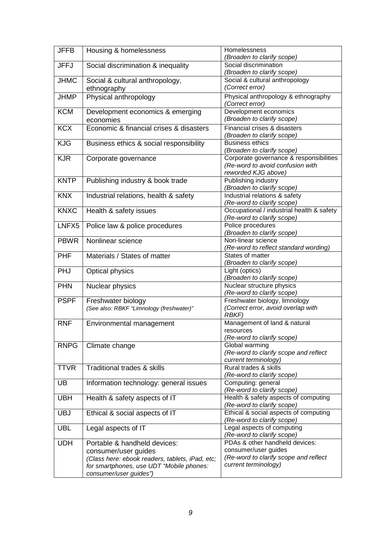| <b>JFFB</b> | Housing & homelessness                                                                      | Homelessness<br>(Broaden to clarify scope)                              |
|-------------|---------------------------------------------------------------------------------------------|-------------------------------------------------------------------------|
| <b>JFFJ</b> | Social discrimination & inequality                                                          | Social discrimination                                                   |
|             |                                                                                             | (Broaden to clarify scope)                                              |
| <b>JHMC</b> | Social & cultural anthropology,                                                             | Social & cultural anthropology                                          |
|             | ethnography                                                                                 | (Correct error)                                                         |
| <b>JHMP</b> | Physical anthropology                                                                       | Physical anthropology & ethnography                                     |
|             |                                                                                             | (Correct error)                                                         |
| <b>KCM</b>  | Development economics & emerging                                                            | Development economics                                                   |
|             | economies                                                                                   | (Broaden to clarify scope)                                              |
| <b>KCX</b>  | Economic & financial crises & disasters                                                     | Financial crises & disasters                                            |
|             |                                                                                             | (Broaden to clarify scope)                                              |
| <b>KJG</b>  | Business ethics & social responsibility                                                     | <b>Business ethics</b>                                                  |
|             |                                                                                             | (Broaden to clarify scope)                                              |
| <b>KJR</b>  | Corporate governance                                                                        | Corporate governance & responsibilities                                 |
|             |                                                                                             | (Re-word to avoid confusion with                                        |
|             |                                                                                             | reworded KJG above)                                                     |
| <b>KNTP</b> | Publishing industry & book trade                                                            | Publishing industry                                                     |
|             |                                                                                             | (Broaden to clarify scope)                                              |
| <b>KNX</b>  | Industrial relations, health & safety                                                       | Industrial relations & safety                                           |
| <b>KNXC</b> | Health & safety issues                                                                      | (Re-word to clarify scope)<br>Occupational / industrial health & safety |
|             |                                                                                             | (Re-word to clarify scope)                                              |
| LNFX5       | Police law & police procedures                                                              | Police procedures                                                       |
|             |                                                                                             | (Broaden to clarify scope)                                              |
| <b>PBWR</b> | Nonlinear science                                                                           | Non-linear science                                                      |
|             |                                                                                             | (Re-word to reflect standard wording)                                   |
| <b>PHF</b>  | Materials / States of matter                                                                | States of matter                                                        |
|             |                                                                                             | (Broaden to clarify scope)                                              |
| PHJ         | <b>Optical physics</b>                                                                      | Light (optics)                                                          |
|             |                                                                                             | (Broaden to clarify scope)                                              |
| <b>PHN</b>  | Nuclear physics                                                                             | Nuclear structure physics                                               |
|             |                                                                                             | (Re-word to clarify scope)                                              |
| <b>PSPF</b> | Freshwater biology                                                                          | Freshwater biology, limnology                                           |
|             | (See also: RBKF "Limnology (freshwater)"                                                    | (Correct error, avoid overlap with                                      |
|             |                                                                                             | <b>RBKF)</b>                                                            |
| <b>RNF</b>  | Environmental management                                                                    | Management of land & natural<br>resources                               |
|             |                                                                                             | (Re-word to clarify scope)                                              |
| <b>RNPG</b> | Climate change                                                                              | Global warming                                                          |
|             |                                                                                             | (Re-word to clarify scope and reflect                                   |
|             |                                                                                             | current terminology)                                                    |
| <b>TTVR</b> | Traditional trades & skills                                                                 | Rural trades & skills                                                   |
|             |                                                                                             | (Re-word to clarify scope)                                              |
| <b>UB</b>   | Information technology: general issues                                                      | Computing: general                                                      |
|             |                                                                                             | (Re-word to clarify scope)                                              |
| <b>UBH</b>  | Health & safety aspects of IT                                                               | Health & safety aspects of computing                                    |
|             |                                                                                             | (Re-word to clarify scope)                                              |
| <b>UBJ</b>  | Ethical & social aspects of IT                                                              | Ethical & social aspects of computing                                   |
|             |                                                                                             | (Re-word to clarify scope)                                              |
| <b>UBL</b>  | Legal aspects of IT                                                                         | Legal aspects of computing                                              |
|             |                                                                                             | (Re-word to clarify scope)<br>PDAs & other handheld devices:            |
| <b>UDH</b>  | Portable & handheld devices:                                                                | consumer/user guides                                                    |
|             | consumer/user guides                                                                        | (Re-word to clarify scope and reflect                                   |
|             | (Class here: ebook readers, tablets, iPad, etc;<br>for smartphones, use UDT "Mobile phones: | current terminology)                                                    |
|             | consumer/user guides")                                                                      |                                                                         |
|             |                                                                                             |                                                                         |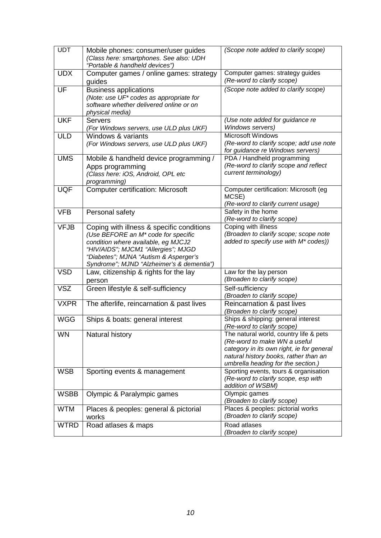| <b>UDT</b>  | Mobile phones: consumer/user guides<br>(Class here: smartphones. See also: UDH<br>"Portable & handheld devices")                                                                                                                                                 | (Scope note added to clarify scope)                                                                                                                                                                |
|-------------|------------------------------------------------------------------------------------------------------------------------------------------------------------------------------------------------------------------------------------------------------------------|----------------------------------------------------------------------------------------------------------------------------------------------------------------------------------------------------|
| <b>UDX</b>  | Computer games / online games: strategy<br>guides                                                                                                                                                                                                                | Computer games: strategy guides<br>(Re-word to clarify scope)                                                                                                                                      |
| UF          | <b>Business applications</b><br>(Note: use UF* codes as appropriate for<br>software whether delivered online or on<br>physical media)                                                                                                                            | (Scope note added to clarify scope)                                                                                                                                                                |
| <b>UKF</b>  | <b>Servers</b><br>(For Windows servers, use ULD plus UKF)                                                                                                                                                                                                        | (Use note added for guidance re<br>Windows servers)                                                                                                                                                |
| <b>ULD</b>  | Windows & variants<br>(For Windows servers, use ULD plus UKF)                                                                                                                                                                                                    | <b>Microsoft Windows</b><br>(Re-word to clarify scope; add use note<br>for guidance re Windows servers)                                                                                            |
| <b>UMS</b>  | Mobile & handheld device programming /<br>Apps programming<br>(Class here: iOS, Android, OPL etc<br>programming)                                                                                                                                                 | PDA / Handheld programming<br>(Re-word to clarify scope and reflect<br>current terminology)                                                                                                        |
| <b>UQF</b>  | <b>Computer certification: Microsoft</b>                                                                                                                                                                                                                         | Computer certification: Microsoft (eg<br>MCSE)<br>(Re-word to clarify current usage)                                                                                                               |
| <b>VFB</b>  | Personal safety                                                                                                                                                                                                                                                  | Safety in the home<br>(Re-word to clarify scope)                                                                                                                                                   |
| <b>VFJB</b> | Coping with illness & specific conditions<br>(Use BEFORE an M <sup>*</sup> code for specific<br>condition where available, eg MJCJ2<br>"HIV/AIDS"; MJCM1 "Allergies"; MJGD<br>"Diabetes"; MJNA "Autism & Asperger's<br>Syndrome"; MJND "Alzheimer's & dementia") | Coping with illness<br>(Broaden to clarify scope; scope note<br>added to specify use with M* codes))                                                                                               |
| <b>VSD</b>  | Law, citizenship & rights for the lay<br>person                                                                                                                                                                                                                  | Law for the lay person<br>(Broaden to clarify scope)                                                                                                                                               |
| <b>VSZ</b>  | Green lifestyle & self-sufficiency                                                                                                                                                                                                                               | Self-sufficiency<br>(Broaden to clarify scope)                                                                                                                                                     |
| <b>VXPR</b> | The afterlife, reincarnation & past lives                                                                                                                                                                                                                        | Reincarnation & past lives<br>(Broaden to clarify scope)                                                                                                                                           |
| <b>WGG</b>  | Ships & boats: general interest                                                                                                                                                                                                                                  | Ships & shipping: general interest<br>(Re-word to clarify scope)                                                                                                                                   |
| <b>WN</b>   | Natural history                                                                                                                                                                                                                                                  | The natural world, country life & pets<br>(Re-word to make WN a useful<br>category in its own right, ie for general<br>natural history books, rather than an<br>umbrella heading for the section.) |
| <b>WSB</b>  | Sporting events & management                                                                                                                                                                                                                                     | Sporting events, tours & organisation<br>(Re-word to clarify scope, esp with<br>addition of WSBM)                                                                                                  |
| <b>WSBB</b> | Olympic & Paralympic games                                                                                                                                                                                                                                       | Olympic games<br>(Broaden to clarify scope)                                                                                                                                                        |
| <b>WTM</b>  | Places & peoples: general & pictorial<br>works                                                                                                                                                                                                                   | Places & peoples: pictorial works<br>(Broaden to clarify scope)                                                                                                                                    |
| <b>WTRD</b> | Road atlases & maps                                                                                                                                                                                                                                              | Road atlases<br>(Broaden to clarify scope)                                                                                                                                                         |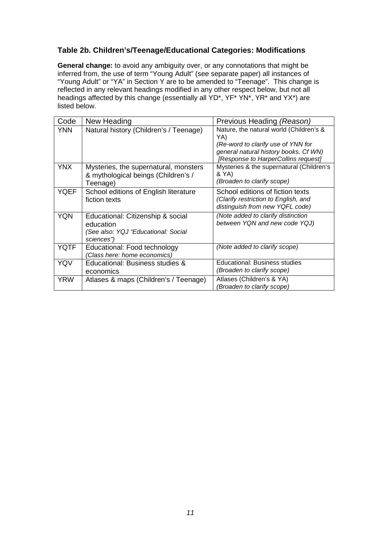### **Table 2b. Children's/Teenage/Educational Categories: Modifications**

**General change:** to avoid any ambiguity over, or any connotations that might be inferred from, the use of term "Young Adult" (see separate paper) all instances of "Young Adult" or "YA" in Section Y are to be amended to "Teenage". This change is reflected in any relevant headings modified in any other respect below, but not all headings affected by this change (essentially all YD<sup>\*</sup>, YF<sup>\*</sup> YN<sup>\*</sup>, YR<sup>\*</sup> and YX<sup>\*</sup>) are listed below.

| Code        | New Heading                                                                                         | Previous Heading (Reason)                                                                                                                                            |
|-------------|-----------------------------------------------------------------------------------------------------|----------------------------------------------------------------------------------------------------------------------------------------------------------------------|
| <b>YNN</b>  | Natural history (Children's / Teenage)                                                              | Nature, the natural world (Children's &<br>YA)<br>(Re-word to clarify use of YNN for<br>general natural history books. Cf WN)<br>[Response to HarperCollins request] |
| <b>YNX</b>  | Mysteries, the supernatural, monsters<br>& mythological beings (Children's /<br>Teenage)            | Mysteries & the supernatural (Children's<br>& YA)<br>(Broaden to clarify scope)                                                                                      |
| YQEF        | School editions of English literature<br>fiction texts                                              | School editions of fiction texts<br>(Clarify restriction to English, and<br>distinguish from new YQFL code)                                                          |
| <b>YQN</b>  | Educational: Citizenship & social<br>education<br>(See also: YQJ "Educational: Social<br>sciences") | (Note added to clarify distinction<br>between YQN and new code YQJ)                                                                                                  |
| <b>YQTF</b> | Educational: Food technology<br>(Class here: home economics)                                        | (Note added to clarify scope)                                                                                                                                        |
| <b>YQV</b>  | Educational: Business studies &<br>economics                                                        | Educational: Business studies<br>(Broaden to clarify scope)                                                                                                          |
| <b>YRW</b>  | Atlases & maps (Children's / Teenage)                                                               | Atlases (Children's & YA)<br>(Broaden to clarify scope)                                                                                                              |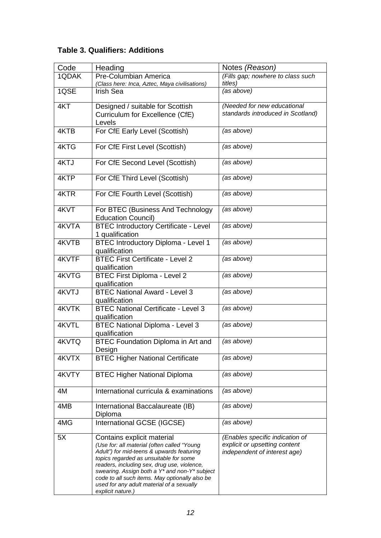## **Table 3. Qualifiers: Additions**

| Code  | Heading                                                                                                                                                                                                                                                                                                                                                                              | Notes (Reason)                                                                                   |
|-------|--------------------------------------------------------------------------------------------------------------------------------------------------------------------------------------------------------------------------------------------------------------------------------------------------------------------------------------------------------------------------------------|--------------------------------------------------------------------------------------------------|
| 1QDAK | Pre-Columbian America<br>(Class here: Inca, Aztec, Maya civilisations)                                                                                                                                                                                                                                                                                                               | (Fills gap; nowhere to class such<br>titles)                                                     |
| 1QSE  | <b>Irish Sea</b>                                                                                                                                                                                                                                                                                                                                                                     | (as above)                                                                                       |
| 4KT   | Designed / suitable for Scottish<br>Curriculum for Excellence (CfE)<br>Levels                                                                                                                                                                                                                                                                                                        | (Needed for new educational<br>standards introduced in Scotland)                                 |
| 4KTB  | For CfE Early Level (Scottish)                                                                                                                                                                                                                                                                                                                                                       | (as above)                                                                                       |
| 4KTG  | For CfE First Level (Scottish)                                                                                                                                                                                                                                                                                                                                                       | (as above)                                                                                       |
| 4KTJ  | For CfE Second Level (Scottish)                                                                                                                                                                                                                                                                                                                                                      | (as above)                                                                                       |
| 4KTP  | For CfE Third Level (Scottish)                                                                                                                                                                                                                                                                                                                                                       | (as above)                                                                                       |
| 4KTR  | For CfE Fourth Level (Scottish)                                                                                                                                                                                                                                                                                                                                                      | (as above)                                                                                       |
| 4KVT  | For BTEC (Business And Technology<br><b>Education Council)</b>                                                                                                                                                                                                                                                                                                                       | (as above)                                                                                       |
| 4KVTA | <b>BTEC Introductory Certificate - Level</b><br>1 qualification                                                                                                                                                                                                                                                                                                                      | (as above)                                                                                       |
| 4KVTB | <b>BTEC Introductory Diploma - Level 1</b><br>qualification                                                                                                                                                                                                                                                                                                                          | (as above)                                                                                       |
| 4KVTF | <b>BTEC First Certificate - Level 2</b><br>qualification                                                                                                                                                                                                                                                                                                                             | (as above)                                                                                       |
| 4KVTG | <b>BTEC First Diploma - Level 2</b><br>qualification                                                                                                                                                                                                                                                                                                                                 | (as above)                                                                                       |
| 4KVTJ | <b>BTEC National Award - Level 3</b><br>qualification                                                                                                                                                                                                                                                                                                                                | (as above)                                                                                       |
| 4KVTK | <b>BTEC National Certificate - Level 3</b><br>qualification                                                                                                                                                                                                                                                                                                                          | (as above)                                                                                       |
| 4KVTL | <b>BTEC National Diploma - Level 3</b><br>qualification                                                                                                                                                                                                                                                                                                                              | (as above)                                                                                       |
| 4KVTQ | <b>BTEC Foundation Diploma in Art and</b><br>Design                                                                                                                                                                                                                                                                                                                                  | (as above)                                                                                       |
| 4KVTX | <b>BTEC Higher National Certificate</b>                                                                                                                                                                                                                                                                                                                                              | (as above)                                                                                       |
| 4KVTY | <b>BTEC Higher National Diploma</b>                                                                                                                                                                                                                                                                                                                                                  | (as above)                                                                                       |
| 4M    | International curricula & examinations                                                                                                                                                                                                                                                                                                                                               | (as above)                                                                                       |
| 4MB   | International Baccalaureate (IB)<br>Diploma                                                                                                                                                                                                                                                                                                                                          | (as above)                                                                                       |
| 4MG   | International GCSE (IGCSE)                                                                                                                                                                                                                                                                                                                                                           | (as above)                                                                                       |
| 5X    | Contains explicit material<br>(Use for: all material (often called "Young<br>Adult") for mid-teens & upwards featuring<br>topics regarded as unsuitable for some<br>readers, including sex, drug use, violence,<br>swearing. Assign both a Y* and non-Y* subject<br>code to all such items. May optionally also be<br>used for any adult material of a sexually<br>explicit nature.) | (Enables specific indication of<br>explicit or upsetting content<br>independent of interest age) |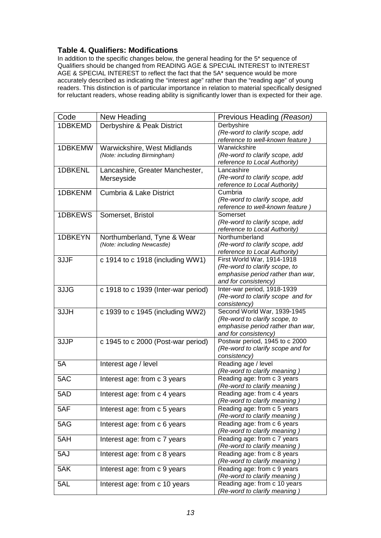#### **Table 4. Qualifiers: Modifications**

In addition to the specific changes below, the general heading for the 5\* sequence of Qualifiers should be changed from READING AGE & SPECIAL INTEREST to INTEREST AGE & SPECIAL INTEREST to reflect the fact that the 5A\* sequence would be more accurately described as indicating the "interest age" rather than the "reading age" of young readers. This distinction is of particular importance in relation to material specifically designed for reluctant readers, whose reading ability is significantly lower than is expected for their age.

| Code    | New Heading                         | Previous Heading (Reason)                                          |
|---------|-------------------------------------|--------------------------------------------------------------------|
| 1DBKEMD | Derbyshire & Peak District          | Derbyshire                                                         |
|         |                                     | (Re-word to clarify scope, add                                     |
|         |                                     | reference to well-known feature)                                   |
| 1DBKEMW | Warwickshire, West Midlands         | Warwickshire                                                       |
|         | (Note: including Birmingham)        | (Re-word to clarify scope, add                                     |
|         |                                     | reference to Local Authority)                                      |
| 1DBKENL | Lancashire, Greater Manchester,     | Lancashire                                                         |
|         | Merseyside                          | (Re-word to clarify scope, add                                     |
|         |                                     | reference to Local Authority)                                      |
| 1DBKENM | Cumbria & Lake District             | Cumbria                                                            |
|         |                                     | (Re-word to clarify scope, add                                     |
|         |                                     | reference to well-known feature)                                   |
| 1DBKEWS | Somerset, Bristol                   | Somerset                                                           |
|         |                                     | (Re-word to clarify scope, add                                     |
|         |                                     | reference to Local Authority)                                      |
| 1DBKEYN | Northumberland, Tyne & Wear         | Northumberland                                                     |
|         | (Note: including Newcastle)         | (Re-word to clarify scope, add                                     |
|         |                                     | reference to Local Authority)                                      |
| 3JJF    | c 1914 to c 1918 (including WW1)    | First World War, 1914-1918                                         |
|         |                                     | (Re-word to clarify scope, to                                      |
|         |                                     | emphasise period rather than war,                                  |
|         |                                     | and for consistency)                                               |
|         |                                     | Inter-war period, 1918-1939                                        |
| 3JJG    | c 1918 to c 1939 (Inter-war period) | (Re-word to clarify scope and for                                  |
|         |                                     |                                                                    |
|         |                                     | consistency)<br>Second World War, 1939-1945                        |
| 3JJH    | c 1939 to c 1945 (including WW2)    |                                                                    |
|         |                                     | (Re-word to clarify scope, to<br>emphasise period rather than war, |
|         |                                     | and for consistency)                                               |
| 3JJP    | c 1945 to c 2000 (Post-war period)  | Postwar period, 1945 to c 2000                                     |
|         |                                     | (Re-word to clarify scope and for                                  |
|         |                                     | consistency)                                                       |
|         |                                     | Reading age / level                                                |
| 5A      | Interest age / level                |                                                                    |
|         |                                     | (Re-word to clarify meaning)                                       |
| 5AC     | Interest age: from c 3 years        | Reading age: from c 3 years                                        |
|         |                                     | (Re-word to clarify meaning)                                       |
| 5AD     | Interest age: from c 4 years        | Reading age: from c 4 years                                        |
|         |                                     | (Re-word to clarify meaning)                                       |
| 5AF     | Interest age: from c 5 years        | Reading age: from c 5 years                                        |
|         |                                     | (Re-word to clarify meaning)                                       |
| 5AG     | Interest age: from c 6 years        | Reading age: from c 6 years                                        |
|         |                                     | (Re-word to clarify meaning)                                       |
| 5AH     | Interest age: from c 7 years        | Reading age: from c 7 years                                        |
|         |                                     | (Re-word to clarify meaning)                                       |
| 5AJ     | Interest age: from c 8 years        | Reading age: from c 8 years                                        |
|         |                                     | (Re-word to clarify meaning)                                       |
| 5AK     | Interest age: from c 9 years        | Reading age: from c 9 years                                        |
|         |                                     | (Re-word to clarify meaning)                                       |
| 5AL     | Interest age: from c 10 years       | Reading age: from c 10 years                                       |
|         |                                     | (Re-word to clarify meaning)                                       |